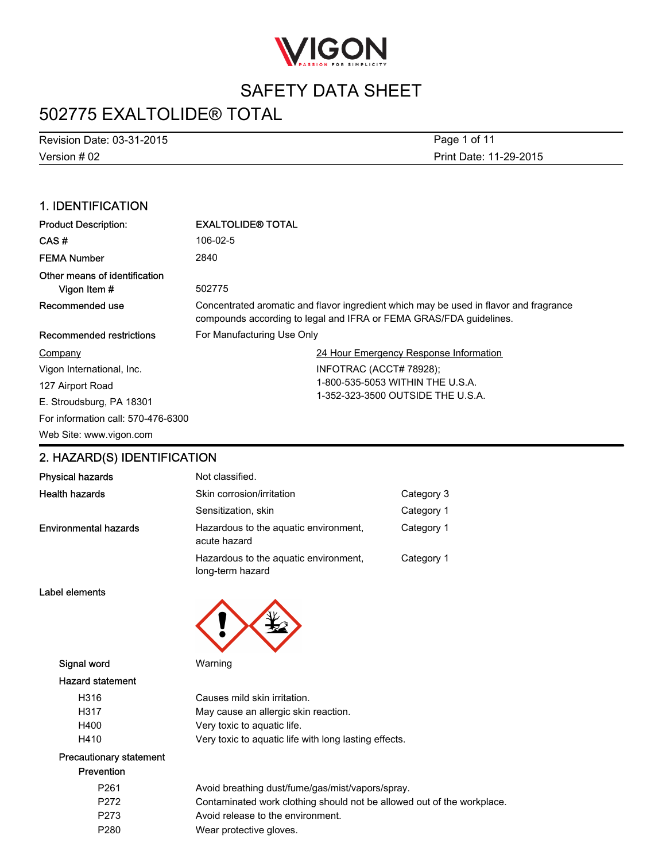

## 502775 EXALTOLIDE® TOTAL

Version # 02 Revision Date: 03-31-2015 Print Date: 11-29-2015 Page 1 of 11

### 1. IDENTIFICATION

| <b>Product Description:</b>                   | <b>EXALTOLIDE® TOTAL</b>                                                                                                                                    |  |
|-----------------------------------------------|-------------------------------------------------------------------------------------------------------------------------------------------------------------|--|
| CAS#                                          | 106-02-5                                                                                                                                                    |  |
| <b>FEMA Number</b>                            | 2840                                                                                                                                                        |  |
| Other means of identification<br>Vigon Item # | 502775                                                                                                                                                      |  |
| Recommended use                               | Concentrated aromatic and flavor ingredient which may be used in flavor and fragrance<br>compounds according to legal and IFRA or FEMA GRAS/FDA guidelines. |  |
| Recommended restrictions                      | For Manufacturing Use Only                                                                                                                                  |  |
| Company                                       | 24 Hour Emergency Response Information                                                                                                                      |  |
| Vigon International, Inc.                     | INFOTRAC (ACCT# 78928);                                                                                                                                     |  |
| 127 Airport Road                              | 1-800-535-5053 WITHIN THE U.S.A.                                                                                                                            |  |
| E. Stroudsburg, PA 18301                      | 1-352-323-3500 OUTSIDE THE U.S.A.                                                                                                                           |  |
| For information call: 570-476-6300            |                                                                                                                                                             |  |
| Web Site: www.vigon.com                       |                                                                                                                                                             |  |

### 2. HAZARD(S) IDENTIFICATION

| <b>Physical hazards</b>      | Not classified.                                           |            |
|------------------------------|-----------------------------------------------------------|------------|
| <b>Health hazards</b>        | Skin corrosion/irritation                                 | Category 3 |
|                              | Sensitization, skin                                       | Category 1 |
| <b>Environmental hazards</b> | Hazardous to the aquatic environment,<br>acute hazard     | Category 1 |
|                              | Hazardous to the aquatic environment,<br>long-term hazard | Category 1 |

Label elements



Signal word Warning

#### Hazard statement

| H316 | Causes mild skin irritation.                          |
|------|-------------------------------------------------------|
| H317 | May cause an allergic skin reaction.                  |
| H400 | Very toxic to aguatic life.                           |
| H410 | Very toxic to aguatic life with long lasting effects. |

#### Precautionary statement Prevention

| P <sub>261</sub> | Avoid breathing dust/fume/gas/mist/vapors/spray.                       |
|------------------|------------------------------------------------------------------------|
| P272             | Contaminated work clothing should not be allowed out of the workplace. |
| P273             | Avoid release to the environment.                                      |
| P <sub>280</sub> | Wear protective gloves.                                                |
|                  |                                                                        |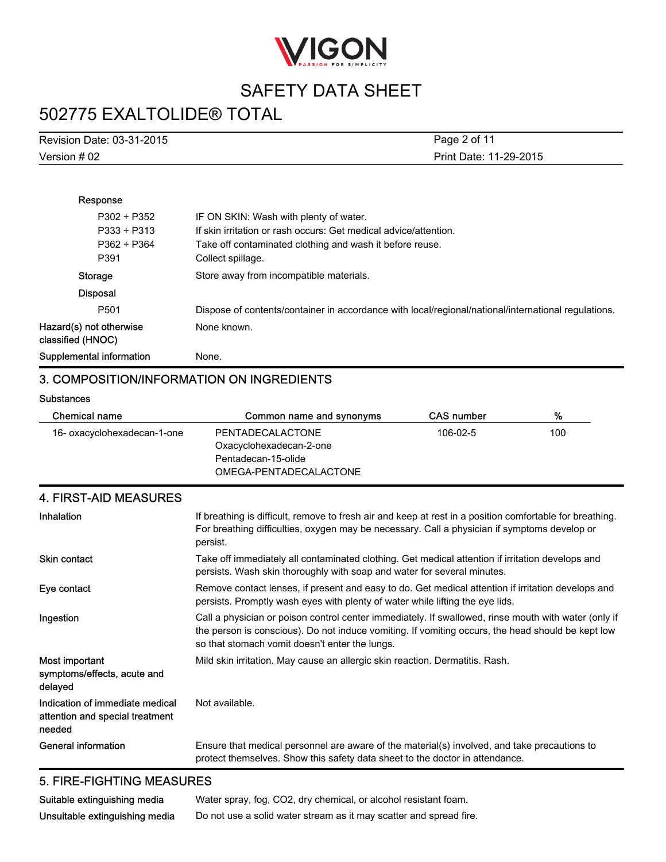

# 502775 EXALTOLIDE® TOTAL

| Revision Date: 03-31-2015 | Page 2 of 11           |
|---------------------------|------------------------|
| Version # 02              | Print Date: 11-29-2015 |

| Response                                     |                                                                                                     |
|----------------------------------------------|-----------------------------------------------------------------------------------------------------|
| P302 + P352                                  | IF ON SKIN: Wash with plenty of water.                                                              |
| P333 + P313                                  | If skin irritation or rash occurs: Get medical advice/attention.                                    |
| P362 + P364                                  | Take off contaminated clothing and wash it before reuse.                                            |
| P391                                         | Collect spillage.                                                                                   |
| <b>Storage</b>                               | Store away from incompatible materials.                                                             |
| <b>Disposal</b>                              |                                                                                                     |
| P <sub>501</sub>                             | Dispose of contents/container in accordance with local/regional/national/international regulations. |
| Hazard(s) not otherwise<br>classified (HNOC) | None known.                                                                                         |
| Supplemental information                     | None.                                                                                               |

### 3. COMPOSITION/INFORMATION ON INGREDIENTS

#### **Substances**

| Chemical name               | Common name and synonyms | <b>CAS</b> number | %   |
|-----------------------------|--------------------------|-------------------|-----|
| 16- oxacyclohexadecan-1-one | PENTADECALACTONE         | 106-02-5          | 100 |
|                             | Oxacyclohexadecan-2-one  |                   |     |
|                             | Pentadecan-15-olide      |                   |     |
|                             | OMEGA-PENTADECALACTONE   |                   |     |

| Inhalation                                                                   | If breathing is difficult, remove to fresh air and keep at rest in a position comfortable for breathing.<br>For breathing difficulties, oxygen may be necessary. Call a physician if symptoms develop or<br>persist.                                        |
|------------------------------------------------------------------------------|-------------------------------------------------------------------------------------------------------------------------------------------------------------------------------------------------------------------------------------------------------------|
| <b>Skin contact</b>                                                          | Take off immediately all contaminated clothing. Get medical attention if irritation develops and<br>persists. Wash skin thoroughly with soap and water for several minutes.                                                                                 |
| Eye contact                                                                  | Remove contact lenses, if present and easy to do. Get medical attention if irritation develops and<br>persists. Promptly wash eyes with plenty of water while lifting the eye lids.                                                                         |
| Ingestion                                                                    | Call a physician or poison control center immediately. If swallowed, rinse mouth with water (only if<br>the person is conscious). Do not induce vomiting. If vomiting occurs, the head should be kept low<br>so that stomach vomit doesn't enter the lungs. |
| Most important<br>symptoms/effects, acute and<br>delayed                     | Mild skin irritation. May cause an allergic skin reaction. Dermatitis. Rash.                                                                                                                                                                                |
| Indication of immediate medical<br>attention and special treatment<br>needed | Not available.                                                                                                                                                                                                                                              |
| General information                                                          | Ensure that medical personnel are aware of the material(s) involved, and take precautions to<br>protect themselves. Show this safety data sheet to the doctor in attendance.                                                                                |

### 5. FIRE-FIGHTING MEASURES

| Suitable extinguishing media   | Water spray, fog, CO2, dry chemical, or alcohol resistant foam.    |
|--------------------------------|--------------------------------------------------------------------|
| Unsuitable extinguishing media | Do not use a solid water stream as it may scatter and spread fire. |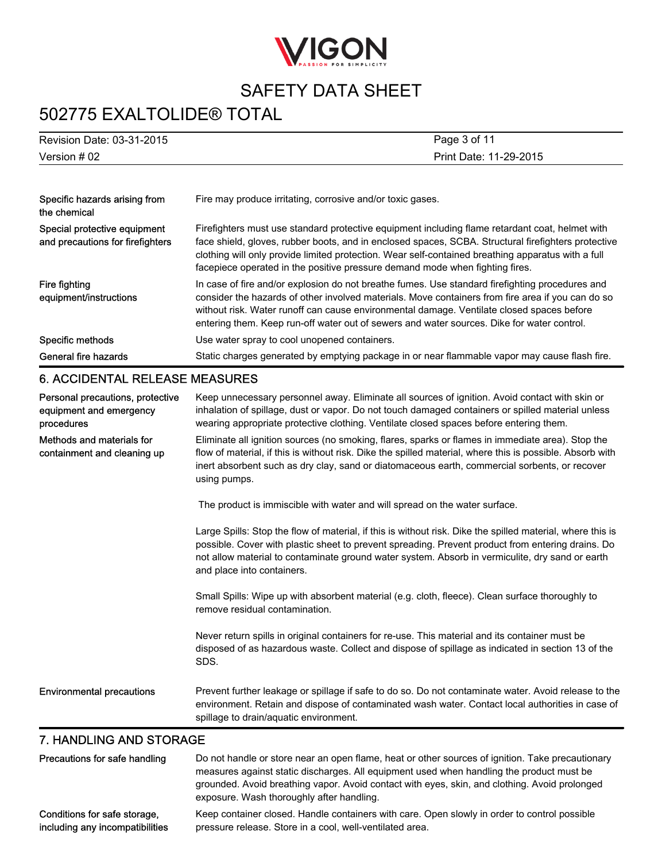

## 502775 EXALTOLIDE® TOTAL

| Revision Date: 03-31-2015                                                 | Page 3 of 11                                                                                                                                                                                                                                                                                                                                                                                    |
|---------------------------------------------------------------------------|-------------------------------------------------------------------------------------------------------------------------------------------------------------------------------------------------------------------------------------------------------------------------------------------------------------------------------------------------------------------------------------------------|
| Version # 02                                                              | Print Date: 11-29-2015                                                                                                                                                                                                                                                                                                                                                                          |
|                                                                           |                                                                                                                                                                                                                                                                                                                                                                                                 |
| Specific hazards arising from<br>the chemical                             | Fire may produce irritating, corrosive and/or toxic gases.                                                                                                                                                                                                                                                                                                                                      |
| Special protective equipment<br>and precautions for firefighters          | Firefighters must use standard protective equipment including flame retardant coat, helmet with<br>face shield, gloves, rubber boots, and in enclosed spaces, SCBA. Structural firefighters protective<br>clothing will only provide limited protection. Wear self-contained breathing apparatus with a full<br>facepiece operated in the positive pressure demand mode when fighting fires.    |
| Fire fighting<br>equipment/instructions                                   | In case of fire and/or explosion do not breathe fumes. Use standard firefighting procedures and<br>consider the hazards of other involved materials. Move containers from fire area if you can do so<br>without risk. Water runoff can cause environmental damage. Ventilate closed spaces before<br>entering them. Keep run-off water out of sewers and water sources. Dike for water control. |
| Specific methods                                                          | Use water spray to cool unopened containers.                                                                                                                                                                                                                                                                                                                                                    |
| General fire hazards                                                      | Static charges generated by emptying package in or near flammable vapor may cause flash fire.                                                                                                                                                                                                                                                                                                   |
| <b>6. ACCIDENTAL RELEASE MEASURES</b>                                     |                                                                                                                                                                                                                                                                                                                                                                                                 |
| Personal precautions, protective<br>equipment and emergency<br>procedures | Keep unnecessary personnel away. Eliminate all sources of ignition. Avoid contact with skin or<br>inhalation of spillage, dust or vapor. Do not touch damaged containers or spilled material unless<br>wearing appropriate protective clothing. Ventilate closed spaces before entering them.                                                                                                   |
| Methods and materials for<br>containment and cleaning up                  | Eliminate all ignition sources (no smoking, flares, sparks or flames in immediate area). Stop the<br>flow of material, if this is without risk. Dike the spilled material, where this is possible. Absorb with<br>inert absorbent such as dry clay, sand or diatomaceous earth, commercial sorbents, or recover<br>using pumps.                                                                 |
|                                                                           | The product is immiscible with water and will spread on the water surface.                                                                                                                                                                                                                                                                                                                      |
|                                                                           | Large Spills: Stop the flow of material, if this is without risk. Dike the spilled material, where this is<br>possible. Cover with plastic sheet to prevent spreading. Prevent product from entering drains. Do<br>not allow material to contaminate ground water system. Absorb in vermiculite, dry sand or earth<br>and place into containers.                                                |
|                                                                           | Small Spills: Wipe up with absorbent material (e.g. cloth, fleece). Clean surface thoroughly to<br>remove residual contamination.                                                                                                                                                                                                                                                               |
|                                                                           | Never return spills in original containers for re-use. This material and its container must be<br>disposed of as hazardous waste. Collect and dispose of spillage as indicated in section 13 of the<br>SDS.                                                                                                                                                                                     |
| <b>Environmental precautions</b>                                          | Prevent further leakage or spillage if safe to do so. Do not contaminate water. Avoid release to the                                                                                                                                                                                                                                                                                            |

### 7. HANDLING AND STORAGE

| Precautions for safe handling   | Do not handle or store near an open flame, heat or other sources of ignition. Take precautionary<br>measures against static discharges. All equipment used when handling the product must be<br>grounded. Avoid breathing vapor. Avoid contact with eyes, skin, and clothing. Avoid prolonged<br>exposure. Wash thoroughly after handling. |
|---------------------------------|--------------------------------------------------------------------------------------------------------------------------------------------------------------------------------------------------------------------------------------------------------------------------------------------------------------------------------------------|
| Conditions for safe storage,    | Keep container closed. Handle containers with care. Open slowly in order to control possible                                                                                                                                                                                                                                               |
| including any incompatibilities | pressure release. Store in a cool, well-ventilated area.                                                                                                                                                                                                                                                                                   |

spillage to drain/aquatic environment.

environment. Retain and dispose of contaminated wash water. Contact local authorities in case of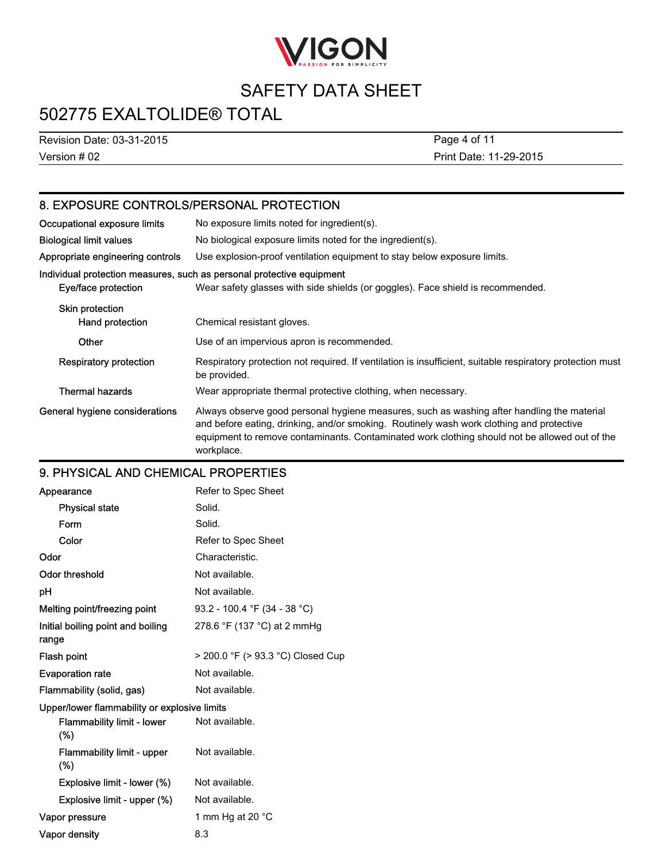

## 502775 EXALTOLIDE® TOTAL

Version # 02 Revision Date: 03-31-2015 Print Date: 11-29-2015 Page 4 of 11

### 8. EXPOSURE CONTROLS/PERSONAL PROTECTION

| Occupational exposure limits       | No exposure limits noted for ingredient(s).                                                                                                                                                                                                                                                           |  |
|------------------------------------|-------------------------------------------------------------------------------------------------------------------------------------------------------------------------------------------------------------------------------------------------------------------------------------------------------|--|
| <b>Biological limit values</b>     | No biological exposure limits noted for the ingredient(s).                                                                                                                                                                                                                                            |  |
| Appropriate engineering controls   | Use explosion-proof ventilation equipment to stay below exposure limits.                                                                                                                                                                                                                              |  |
| Eye/face protection                | Individual protection measures, such as personal protective equipment<br>Wear safety glasses with side shields (or goggles). Face shield is recommended.                                                                                                                                              |  |
| Skin protection<br>Hand protection | Chemical resistant gloves.                                                                                                                                                                                                                                                                            |  |
| Other                              | Use of an impervious apron is recommended.                                                                                                                                                                                                                                                            |  |
| Respiratory protection             | Respiratory protection not required. If ventilation is insufficient, suitable respiratory protection must<br>be provided.                                                                                                                                                                             |  |
| <b>Thermal hazards</b>             | Wear appropriate thermal protective clothing, when necessary.                                                                                                                                                                                                                                         |  |
| General hygiene considerations     | Always observe good personal hygiene measures, such as washing after handling the material<br>and before eating, drinking, and/or smoking. Routinely wash work clothing and protective<br>equipment to remove contaminants. Contaminated work clothing should not be allowed out of the<br>workplace. |  |

### 9. PHYSICAL AND CHEMICAL PROPERTIES

| Appearance                                   | Refer to Spec Sheet               |  |
|----------------------------------------------|-----------------------------------|--|
| <b>Physical state</b>                        | Solid.                            |  |
| Form                                         | Solid.                            |  |
| Color                                        | Refer to Spec Sheet               |  |
| Odor                                         | Characteristic.                   |  |
| Odor threshold                               | Not available.                    |  |
| рH                                           | Not available.                    |  |
| Melting point/freezing point                 | 93.2 - 100.4 °F (34 - 38 °C)      |  |
| Initial boiling point and boiling<br>range   | 278.6 °F (137 °C) at 2 mmHg       |  |
| Flash point                                  | > 200.0 °F (> 93.3 °C) Closed Cup |  |
| <b>Evaporation rate</b>                      | Not available.                    |  |
| Flammability (solid, gas)                    | Not available.                    |  |
| Upper/lower flammability or explosive limits |                                   |  |
| <b>Flammability limit - lower</b><br>(%)     | Not available.                    |  |
| <b>Flammability limit - upper</b><br>$(\%)$  | Not available.                    |  |
| Explosive limit - lower (%)                  | Not available.                    |  |
| Explosive limit - upper (%)                  | Not available.                    |  |
| Vapor pressure                               | 1 mm Hg at 20 °C                  |  |
| Vapor density                                | 8.3                               |  |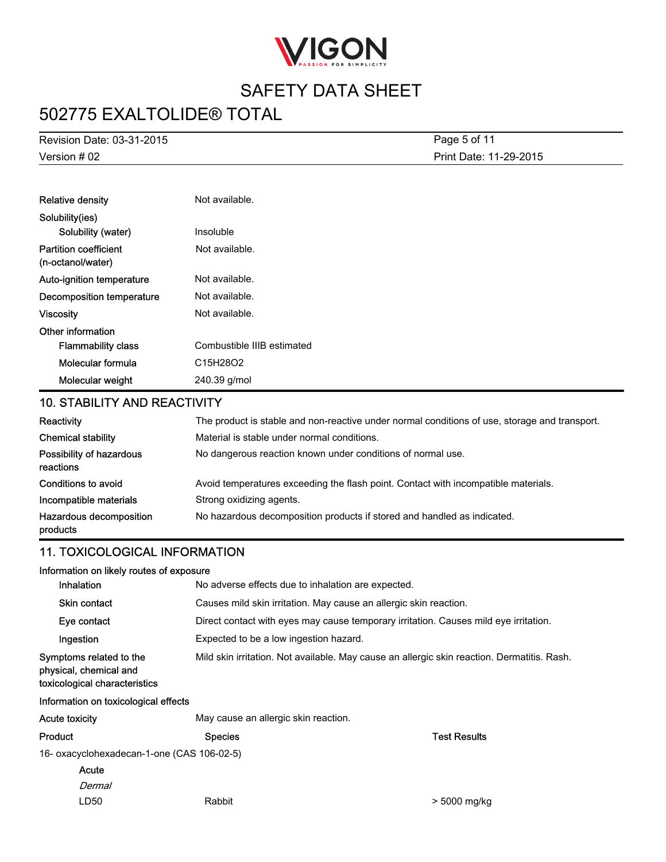

## 502775 EXALTOLIDE® TOTAL

Version # 02 Revision Date: 03-31-2015 Print Date: 11-29-2015 Page 5 of 11

| <b>Relative density</b>                           | Not available.             |
|---------------------------------------------------|----------------------------|
| Solubility(ies)                                   |                            |
| Solubility (water)                                | Insoluble                  |
| <b>Partition coefficient</b><br>(n-octanol/water) | Not available.             |
| Auto-ignition temperature                         | Not available.             |
| Decomposition temperature                         | Not available.             |
| <b>Viscosity</b>                                  | Not available.             |
| Other information                                 |                            |
| <b>Flammability class</b>                         | Combustible IIIB estimated |
| Molecular formula                                 | C15H28O2                   |
| Molecular weight                                  | 240.39 g/mol               |

### 10. STABILITY AND REACTIVITY

| Reactivity                            | The product is stable and non-reactive under normal conditions of use, storage and transport. |
|---------------------------------------|-----------------------------------------------------------------------------------------------|
| <b>Chemical stability</b>             | Material is stable under normal conditions.                                                   |
| Possibility of hazardous<br>reactions | No dangerous reaction known under conditions of normal use.                                   |
| Conditions to avoid                   | Avoid temperatures exceeding the flash point. Contact with incompatible materials.            |
| Incompatible materials                | Strong oxidizing agents.                                                                      |
| Hazardous decomposition<br>products   | No hazardous decomposition products if stored and handled as indicated.                       |

### 11. TOXICOLOGICAL INFORMATION

| Information on likely routes of exposure                                           |                                                                                             |                     |  |
|------------------------------------------------------------------------------------|---------------------------------------------------------------------------------------------|---------------------|--|
| Inhalation                                                                         | No adverse effects due to inhalation are expected.                                          |                     |  |
| <b>Skin contact</b>                                                                | Causes mild skin irritation. May cause an allergic skin reaction.                           |                     |  |
| Eye contact                                                                        | Direct contact with eyes may cause temporary irritation. Causes mild eye irritation.        |                     |  |
| Ingestion                                                                          | Expected to be a low ingestion hazard.                                                      |                     |  |
| Symptoms related to the<br>physical, chemical and<br>toxicological characteristics | Mild skin irritation. Not available. May cause an allergic skin reaction. Dermatitis. Rash. |                     |  |
| Information on toxicological effects                                               |                                                                                             |                     |  |
| Acute toxicity                                                                     | May cause an allergic skin reaction.                                                        |                     |  |
| Product                                                                            | <b>Species</b>                                                                              | <b>Test Results</b> |  |
| 16- oxacyclohexadecan-1-one (CAS 106-02-5)                                         |                                                                                             |                     |  |

- 16- oxacyclohexadecan-1-one (CAS 106-02-5)
	- Dermal Acute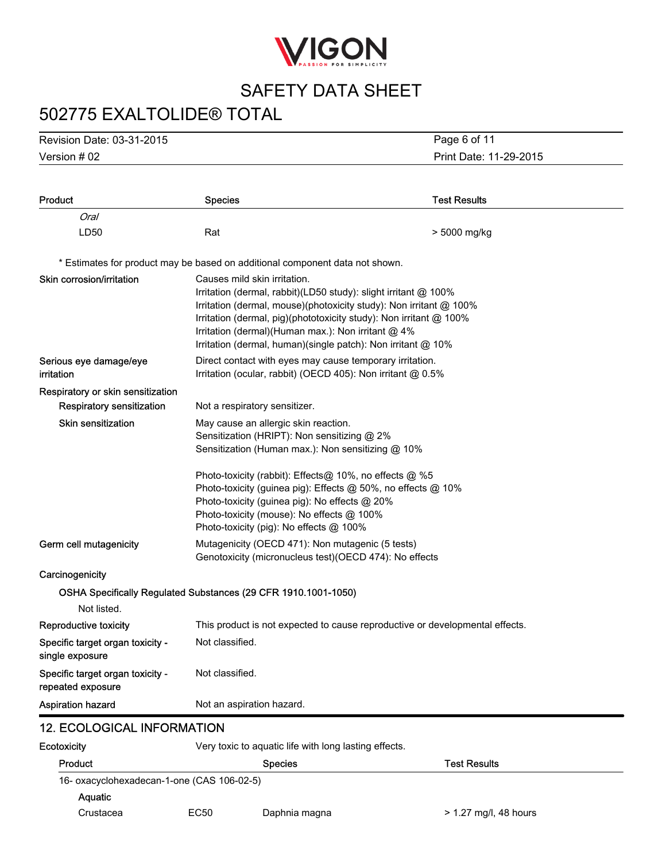

# 502775 EXALTOLIDE® TOTAL

Version # 02 Revision Date: 03-31-2015

Print Date: 11-29-2015 Page 6 of 11

| <b>Product</b>                                        | <b>Species</b>                                                                                                                                                                                                                                                                                                                                                     | <b>Test Results</b> |
|-------------------------------------------------------|--------------------------------------------------------------------------------------------------------------------------------------------------------------------------------------------------------------------------------------------------------------------------------------------------------------------------------------------------------------------|---------------------|
| Oral                                                  |                                                                                                                                                                                                                                                                                                                                                                    |                     |
| LD50                                                  | Rat                                                                                                                                                                                                                                                                                                                                                                | > 5000 mg/kg        |
|                                                       | * Estimates for product may be based on additional component data not shown.                                                                                                                                                                                                                                                                                       |                     |
| Skin corrosion/irritation                             | Causes mild skin irritation.<br>Irritation (dermal, rabbit)(LD50 study): slight irritant @ 100%<br>Irritation (dermal, mouse)(photoxicity study): Non irritant @ 100%<br>Irritation (dermal, pig)(phototoxicity study): Non irritant @ 100%<br>Irritation (dermal) (Human max.): Non irritant @ 4%<br>Irritation (dermal, human)(single patch): Non irritant @ 10% |                     |
| Serious eye damage/eye<br>irritation                  | Direct contact with eyes may cause temporary irritation.<br>Irritation (ocular, rabbit) (OECD 405): Non irritant @ 0.5%                                                                                                                                                                                                                                            |                     |
| Respiratory or skin sensitization                     |                                                                                                                                                                                                                                                                                                                                                                    |                     |
| Respiratory sensitization                             | Not a respiratory sensitizer.                                                                                                                                                                                                                                                                                                                                      |                     |
| <b>Skin sensitization</b>                             | May cause an allergic skin reaction.<br>Sensitization (HRIPT): Non sensitizing @ 2%<br>Sensitization (Human max.): Non sensitizing @ 10%                                                                                                                                                                                                                           |                     |
|                                                       | Photo-toxicity (rabbit): Effects@ 10%, no effects @ %5<br>Photo-toxicity (guinea pig): Effects @ 50%, no effects @ 10%<br>Photo-toxicity (guinea pig): No effects @ 20%<br>Photo-toxicity (mouse): No effects @ 100%<br>Photo-toxicity (pig): No effects @ 100%                                                                                                    |                     |
| Germ cell mutagenicity                                | Mutagenicity (OECD 471): Non mutagenic (5 tests)<br>Genotoxicity (micronucleus test) (OECD 474): No effects                                                                                                                                                                                                                                                        |                     |
| Carcinogenicity                                       |                                                                                                                                                                                                                                                                                                                                                                    |                     |
|                                                       | OSHA Specifically Regulated Substances (29 CFR 1910.1001-1050)                                                                                                                                                                                                                                                                                                     |                     |
| Not listed.                                           |                                                                                                                                                                                                                                                                                                                                                                    |                     |
| Reproductive toxicity                                 | This product is not expected to cause reproductive or developmental effects.                                                                                                                                                                                                                                                                                       |                     |
| Specific target organ toxicity -<br>single exposure   | Not classified.                                                                                                                                                                                                                                                                                                                                                    |                     |
| Specific target organ toxicity -<br>repeated exposure | Not classified.                                                                                                                                                                                                                                                                                                                                                    |                     |
| <b>Aspiration hazard</b>                              | Not an aspiration hazard.                                                                                                                                                                                                                                                                                                                                          |                     |
| <b>12. ECOLOGICAL INFORMATION</b>                     |                                                                                                                                                                                                                                                                                                                                                                    |                     |
| Ecotoxicity                                           | Very toxic to aquatic life with long lasting effects.                                                                                                                                                                                                                                                                                                              |                     |

| Product                                    |      | <b>Species</b> | <b>Test Results</b>     |
|--------------------------------------------|------|----------------|-------------------------|
| 16- oxacyclohexadecan-1-one (CAS 106-02-5) |      |                |                         |
| <b>Aguatic</b>                             |      |                |                         |
| Crustacea                                  | EC50 | Daphnia magna  | $> 1.27$ mg/l, 48 hours |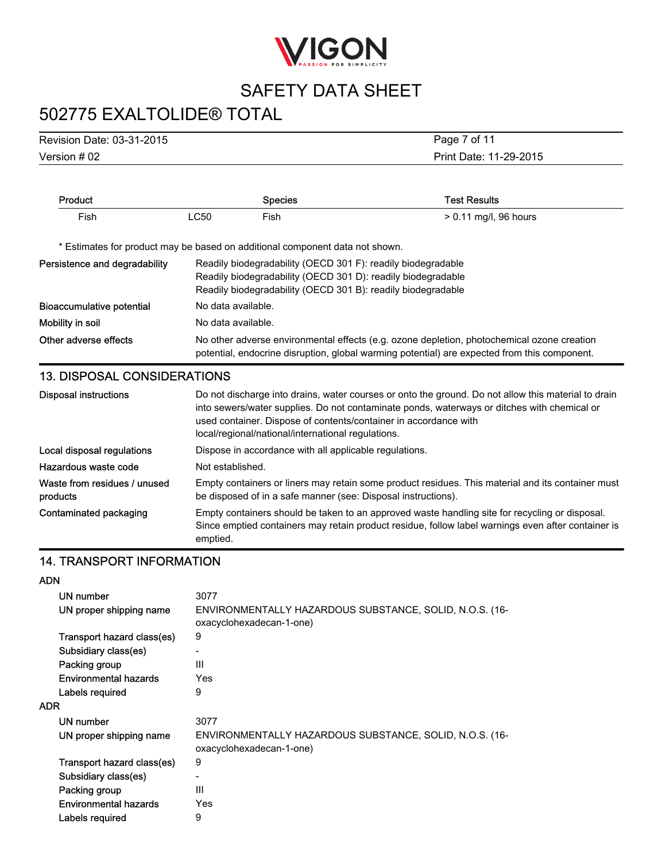

# 502775 EXALTOLIDE® TOTAL

Version # 02 Revision Date: 03-31-2015

Print Date: 11-29-2015 Page 7 of 11

| Product                                  | <b>Species</b>                                                                                                                                                                                                                                                                                                               | <b>Test Results</b>                                                                                                                                                                                  |  |
|------------------------------------------|------------------------------------------------------------------------------------------------------------------------------------------------------------------------------------------------------------------------------------------------------------------------------------------------------------------------------|------------------------------------------------------------------------------------------------------------------------------------------------------------------------------------------------------|--|
| Fish                                     | <b>LC50</b><br>Fish                                                                                                                                                                                                                                                                                                          | > 0.11 mg/l, 96 hours                                                                                                                                                                                |  |
|                                          | * Estimates for product may be based on additional component data not shown.                                                                                                                                                                                                                                                 |                                                                                                                                                                                                      |  |
| Persistence and degradability            | Readily biodegradability (OECD 301 F): readily biodegradable<br>Readily biodegradability (OECD 301 D): readily biodegradable<br>Readily biodegradability (OECD 301 B): readily biodegradable                                                                                                                                 |                                                                                                                                                                                                      |  |
| <b>Bioaccumulative potential</b>         | No data available.                                                                                                                                                                                                                                                                                                           |                                                                                                                                                                                                      |  |
| Mobility in soil                         | No data available.                                                                                                                                                                                                                                                                                                           |                                                                                                                                                                                                      |  |
| Other adverse effects                    | No other adverse environmental effects (e.g. ozone depletion, photochemical ozone creation<br>potential, endocrine disruption, global warming potential) are expected from this component.                                                                                                                                   |                                                                                                                                                                                                      |  |
| <b>13. DISPOSAL CONSIDERATIONS</b>       |                                                                                                                                                                                                                                                                                                                              |                                                                                                                                                                                                      |  |
| <b>Disposal instructions</b>             | Do not discharge into drains, water courses or onto the ground. Do not allow this material to drain<br>into sewers/water supplies. Do not contaminate ponds, waterways or ditches with chemical or<br>used container. Dispose of contents/container in accordance with<br>local/regional/national/international regulations. |                                                                                                                                                                                                      |  |
| Local disposal regulations               | Dispose in accordance with all applicable regulations.                                                                                                                                                                                                                                                                       |                                                                                                                                                                                                      |  |
| Hazardous waste code                     | Not established.                                                                                                                                                                                                                                                                                                             |                                                                                                                                                                                                      |  |
| Waste from residues / unused<br>products | be disposed of in a safe manner (see: Disposal instructions).                                                                                                                                                                                                                                                                | Empty containers or liners may retain some product residues. This material and its container must                                                                                                    |  |
| Contaminated packaging                   | emptied.                                                                                                                                                                                                                                                                                                                     | Empty containers should be taken to an approved waste handling site for recycling or disposal.<br>Since emptied containers may retain product residue, follow label warnings even after container is |  |

### 14. TRANSPORT INFORMATION

| AUN                          |                                                                                     |
|------------------------------|-------------------------------------------------------------------------------------|
| UN number                    | 3077                                                                                |
| UN proper shipping name      | ENVIRONMENTALLY HAZARDOUS SUBSTANCE, SOLID, N.O.S. (16-<br>oxacyclohexadecan-1-one) |
| Transport hazard class(es)   | 9                                                                                   |
| Subsidiary class(es)         |                                                                                     |
| Packing group                | Ш                                                                                   |
| Environmental hazards        | Yes                                                                                 |
| Labels required              | 9                                                                                   |
| <b>ADR</b>                   |                                                                                     |
| UN number                    | 3077                                                                                |
| UN proper shipping name      | ENVIRONMENTALLY HAZARDOUS SUBSTANCE, SOLID, N.O.S. (16-<br>oxacyclohexadecan-1-one) |
| Transport hazard class(es)   | 9                                                                                   |
| Subsidiary class(es)         |                                                                                     |
| Packing group                | Ш                                                                                   |
| <b>Environmental hazards</b> | Yes                                                                                 |
| Labels required              | 9                                                                                   |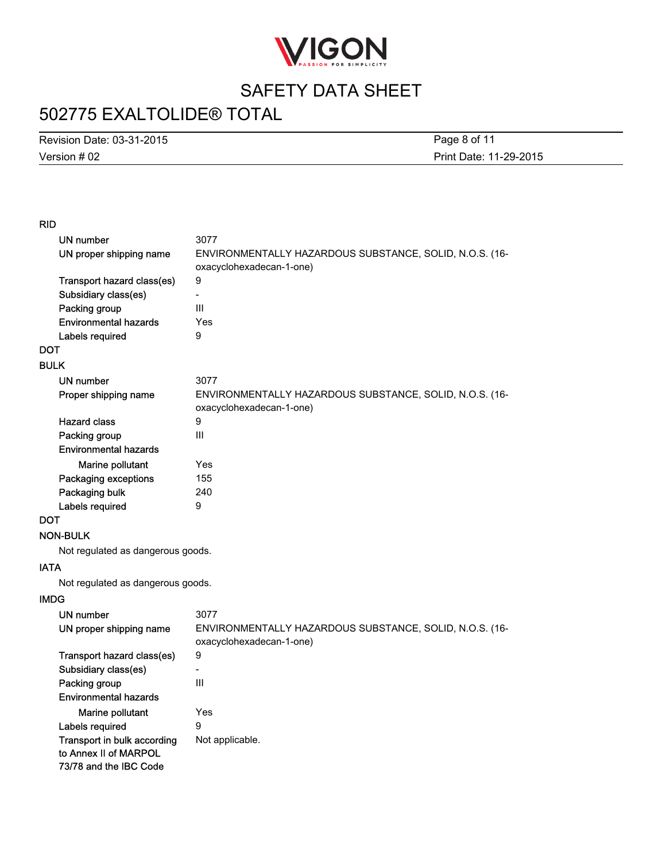

# 502775 EXALTOLIDE® TOTAL

Version # 02 Revision Date: 03-31-2015

Print Date: 11-29-2015 Page 8 of 11

#### RID

| UN number                                                                      | 3077                                                                                |
|--------------------------------------------------------------------------------|-------------------------------------------------------------------------------------|
| UN proper shipping name                                                        | ENVIRONMENTALLY HAZARDOUS SUBSTANCE, SOLID, N.O.S. (16-                             |
|                                                                                | oxacyclohexadecan-1-one)                                                            |
| Transport hazard class(es)                                                     | $\boldsymbol{9}$                                                                    |
| Subsidiary class(es)                                                           | $\overline{a}$                                                                      |
| Packing group                                                                  | III                                                                                 |
| <b>Environmental hazards</b>                                                   | Yes                                                                                 |
| Labels required                                                                | 9                                                                                   |
| <b>DOT</b>                                                                     |                                                                                     |
| <b>BULK</b>                                                                    |                                                                                     |
| UN number                                                                      | 3077                                                                                |
| Proper shipping name                                                           | ENVIRONMENTALLY HAZARDOUS SUBSTANCE, SOLID, N.O.S. (16-<br>oxacyclohexadecan-1-one) |
| <b>Hazard class</b>                                                            | 9                                                                                   |
| Packing group                                                                  | III                                                                                 |
| <b>Environmental hazards</b>                                                   |                                                                                     |
| Marine pollutant                                                               | Yes                                                                                 |
| Packaging exceptions                                                           | 155                                                                                 |
| Packaging bulk                                                                 | 240                                                                                 |
| Labels required                                                                | 9                                                                                   |
| <b>DOT</b>                                                                     |                                                                                     |
| <b>NON-BULK</b>                                                                |                                                                                     |
| Not regulated as dangerous goods.                                              |                                                                                     |
| <b>IATA</b>                                                                    |                                                                                     |
| Not regulated as dangerous goods.                                              |                                                                                     |
| <b>IMDG</b>                                                                    |                                                                                     |
| UN number                                                                      | 3077                                                                                |
| UN proper shipping name                                                        | ENVIRONMENTALLY HAZARDOUS SUBSTANCE, SOLID, N.O.S. (16-<br>oxacyclohexadecan-1-one) |
| Transport hazard class(es)                                                     | 9                                                                                   |
| Subsidiary class(es)                                                           | $\overline{a}$                                                                      |
| Packing group                                                                  | III                                                                                 |
| <b>Environmental hazards</b>                                                   |                                                                                     |
| Marine pollutant                                                               | Yes                                                                                 |
| Labels required                                                                | 9                                                                                   |
| Transport in bulk according<br>to Annex II of MARPOL<br>73/78 and the IBC Code | Not applicable.                                                                     |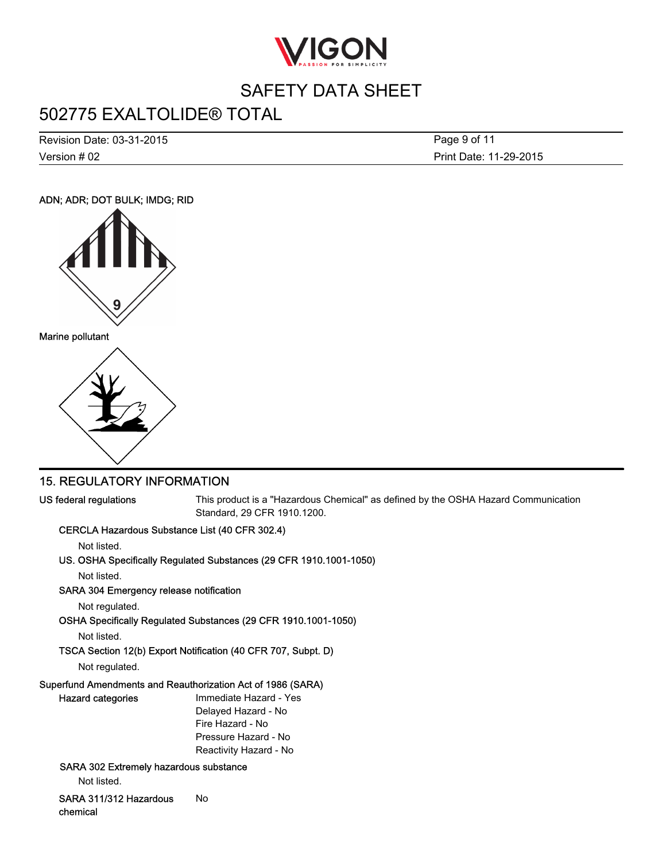

## 502775 EXALTOLIDE® TOTAL

Version # 02 Revision Date: 03-31-2015 Print Date: 11-29-2015 Page 9 of 11

### ADN; ADR; DOT BULK; IMDG; RID





### 15. REGULATORY INFORMATION

US federal regulations This product is a "Hazardous Chemical" as defined by the OSHA Hazard Communication Standard, 29 CFR 1910.1200.

### CERCLA Hazardous Substance List (40 CFR 302.4)

Not listed.

### US. OSHA Specifically Regulated Substances (29 CFR 1910.1001-1050)

Not listed.

#### SARA 304 Emergency release notification

Not regulated.

OSHA Specifically Regulated Substances (29 CFR 1910.1001-1050)

Not listed.

### TSCA Section 12(b) Export Notification (40 CFR 707, Subpt. D)

Not regulated.

#### Superfund Amendments and Reauthorization Act of 1986 (SARA)

| <b>Hazard categories</b>                      | Immediate Hazard - Yes |
|-----------------------------------------------|------------------------|
|                                               | Delayed Hazard - No    |
|                                               | Fire Hazard - No       |
|                                               | Pressure Hazard - No   |
|                                               | Reactivity Hazard - No |
| <b>SARA 302 Extremely hazardous substance</b> |                        |

Not listed.

SARA 311/312 Hazardous chemical No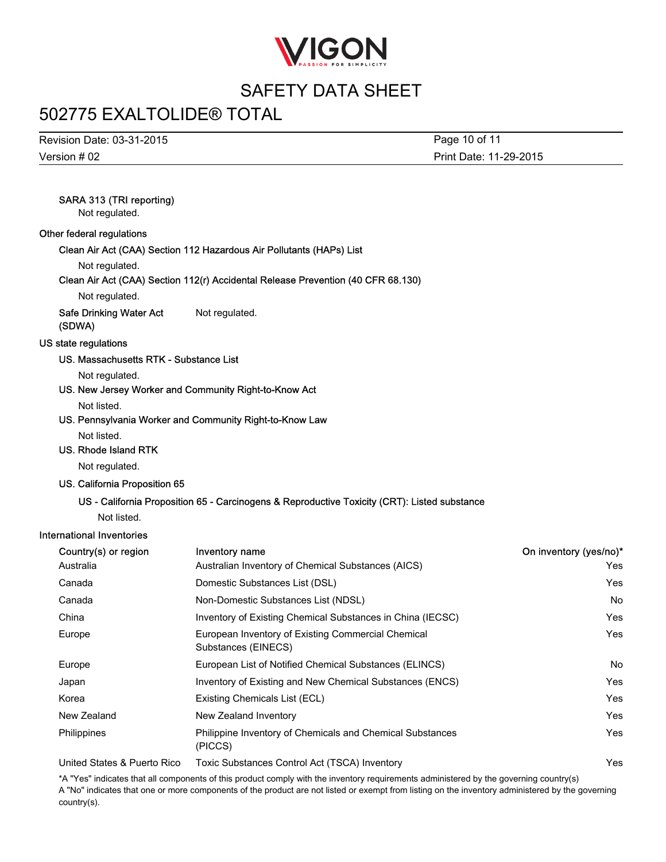

## 502775 EXALTOLIDE® TOTAL

Version # 02 Revision Date: 03-31-2015 Print Date: 11-29-2015 Page 10 of 11

### SARA 313 (TRI reporting)

Not regulated.

#### Other federal regulations

Clean Air Act (CAA) Section 112 Hazardous Air Pollutants (HAPs) List

Not regulated.

#### Clean Air Act (CAA) Section 112(r) Accidental Release Prevention (40 CFR 68.130)

Not regulated.

Safe Drinking Water Act (SDWA) Not regulated.

#### US state regulations

#### US. Massachusetts RTK - Substance List

Not regulated.

US. New Jersey Worker and Community Right-to-Know Act

Not listed.

US. Pennsylvania Worker and Community Right-to-Know Law

Not listed.

#### US. Rhode Island RTK

Not regulated.

#### US. California Proposition 65

#### US - California Proposition 65 - Carcinogens & Reproductive Toxicity (CRT): Listed substance

Not listed.

#### International Inventories

| Country(s) or region        | <b>Inventory name</b>                                                       | On inventory (yes/no)* |
|-----------------------------|-----------------------------------------------------------------------------|------------------------|
| Australia                   | Australian Inventory of Chemical Substances (AICS)                          | Yes                    |
| Canada                      | Domestic Substances List (DSL)                                              | Yes                    |
| Canada                      | Non-Domestic Substances List (NDSL)                                         | No.                    |
| China                       | Inventory of Existing Chemical Substances in China (IECSC)                  | Yes                    |
| Europe                      | European Inventory of Existing Commercial Chemical<br>Substances (EINECS)   | Yes                    |
| Europe                      | European List of Notified Chemical Substances (ELINCS)                      | No.                    |
| Japan                       | Inventory of Existing and New Chemical Substances (ENCS)                    | Yes                    |
| Korea                       | Existing Chemicals List (ECL)                                               | Yes                    |
| New Zealand                 | New Zealand Inventory                                                       | Yes                    |
| <b>Philippines</b>          | <b>Philippine Inventory of Chemicals and Chemical Substances</b><br>(PICCS) | Yes                    |
| United States & Puerto Rico | Toxic Substances Control Act (TSCA) Inventory                               | Yes                    |

\*A "Yes" indicates that all components of this product comply with the inventory requirements administered by the governing country(s) A "No" indicates that one or more components of the product are not listed or exempt from listing on the inventory administered by the governing country(s).